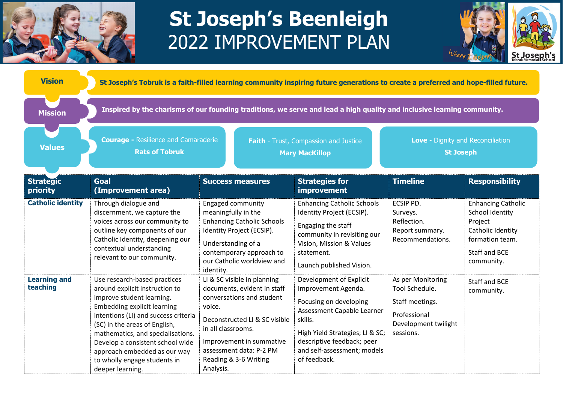

## **St Joseph's Beenleigh**  2022 IMPROVEMENT PLAN



| <b>Vision</b>                   | St Joseph's Tobruk is a faith-filled learning community inspiring future generations to create a preferred and hope-filled future.                                                                                                                                                                                                                                      |                                                                                                                                                                                                                                                       |                                                                                                                                                                                                                                   |                                                                                                             |                                                                                                                                |  |  |  |
|---------------------------------|-------------------------------------------------------------------------------------------------------------------------------------------------------------------------------------------------------------------------------------------------------------------------------------------------------------------------------------------------------------------------|-------------------------------------------------------------------------------------------------------------------------------------------------------------------------------------------------------------------------------------------------------|-----------------------------------------------------------------------------------------------------------------------------------------------------------------------------------------------------------------------------------|-------------------------------------------------------------------------------------------------------------|--------------------------------------------------------------------------------------------------------------------------------|--|--|--|
| <b>Mission</b>                  | Inspired by the charisms of our founding traditions, we serve and lead a high quality and inclusive learning community.                                                                                                                                                                                                                                                 |                                                                                                                                                                                                                                                       |                                                                                                                                                                                                                                   |                                                                                                             |                                                                                                                                |  |  |  |
| <b>Values</b>                   | <b>Courage - Resilience and Camaraderie</b><br><b>Rats of Tobruk</b>                                                                                                                                                                                                                                                                                                    |                                                                                                                                                                                                                                                       | Faith - Trust, Compassion and Justice<br><b>Mary MacKillop</b>                                                                                                                                                                    |                                                                                                             | Love - Dignity and Reconciliation<br><b>St Joseph</b>                                                                          |  |  |  |
| <b>Strategic</b><br>priority    | <b>Goal</b><br>(Improvement area)                                                                                                                                                                                                                                                                                                                                       | <b>Success measures</b>                                                                                                                                                                                                                               | <b>Strategies for</b><br>improvement                                                                                                                                                                                              | <b>Timeline</b>                                                                                             | <b>Responsibility</b>                                                                                                          |  |  |  |
| <b>Catholic identity</b>        | Through dialogue and<br>discernment, we capture the<br>voices across our community to<br>outline key components of our<br>Catholic Identity, deepening our<br>contextual understanding<br>relevant to our community.                                                                                                                                                    | <b>Engaged community</b><br>meaningfully in the<br><b>Enhancing Catholic Schools</b><br>Identity Project (ECSIP).<br>Understanding of a<br>contemporary approach to<br>our Catholic worldview and<br>identity.                                        | <b>Enhancing Catholic Schools</b><br>Identity Project (ECSIP).<br>Engaging the staff<br>community in revisiting our<br>Vision, Mission & Values<br>statement.<br>Launch published Vision.                                         | ECSIP PD.<br>Surveys.<br>Reflection.<br>Report summary.<br>Recommendations.                                 | <b>Enhancing Catholic</b><br>School Identity<br>Project<br>Catholic Identity<br>formation team.<br>Staff and BCE<br>community. |  |  |  |
| <b>Learning and</b><br>teaching | Use research-based practices<br>around explicit instruction to<br>improve student learning.<br><b>Embedding explicit learning</b><br>intentions (LI) and success criteria<br>(SC) in the areas of English,<br>mathematics, and specialisations.<br>Develop a consistent school wide<br>approach embedded as our way<br>to wholly engage students in<br>deeper learning. | LI & SC visible in planning<br>documents, evident in staff<br>conversations and student<br>voice.<br>Deconstructed LI & SC visible<br>in all classrooms.<br>Improvement in summative<br>assessment data: P-2 PM<br>Reading & 3-6 Writing<br>Analysis. | Development of Explicit<br>Improvement Agenda.<br>Focusing on developing<br>Assessment Capable Learner<br>skills.<br>High Yield Strategies; LI & SC;<br>descriptive feedback; peer<br>and self-assessment; models<br>of feedback. | As per Monitoring<br>Tool Schedule.<br>Staff meetings.<br>Professional<br>Development twilight<br>sessions. | <b>Staff and BCE</b><br>community.                                                                                             |  |  |  |